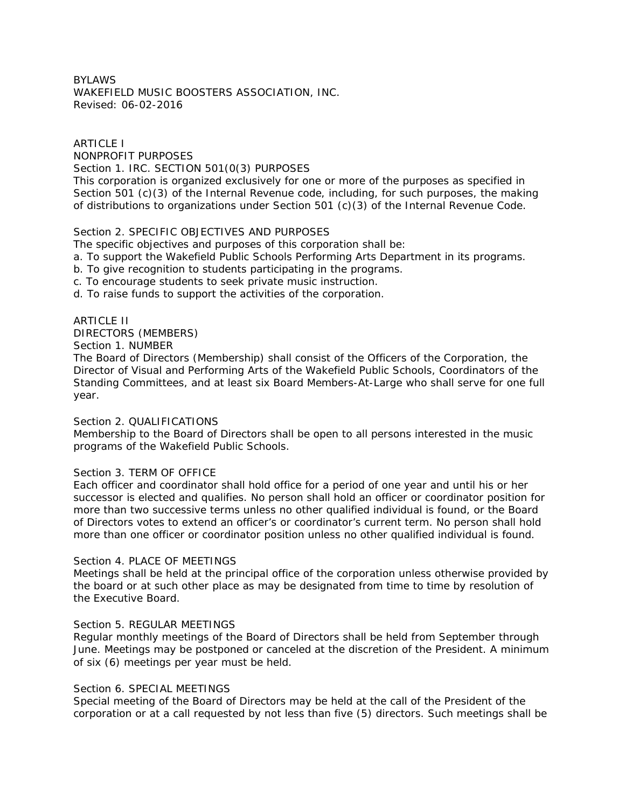# BYLAWS WAKEFIELD MUSIC BOOSTERS ASSOCIATION, INC. Revised: 06-02-2016

ARTICLE I NONPROFIT PURPOSES Section 1. IRC. SECTION 501(0(3) PURPOSES This corporation is organized exclusively for one or more of the purposes as specified in Section 501 (c)(3) of the Internal Revenue code, including, for such purposes, the making of distributions to organizations under Section 501 (c)(3) of the Internal Revenue Code.

# Section 2. SPECIFIC OBJECTIVES AND PURPOSES

The specific objectives and purposes of this corporation shall be:

- a. To support the Wakefield Public Schools Performing Arts Department in its programs.
- b. To give recognition to students participating in the programs.
- c. To encourage students to seek private music instruction.
- d. To raise funds to support the activities of the corporation.

## ARTICLE II

DIRECTORS (MEMBERS)

Section 1. NUMBER

The Board of Directors (Membership) shall consist of the Officers of the Corporation, the Director of Visual and Performing Arts of the Wakefield Public Schools, Coordinators of the Standing Committees, and at least six Board Members-At-Large who shall serve for one full year.

## Section 2. QUALIFICATIONS

Membership to the Board of Directors shall be open to all persons interested in the music programs of the Wakefield Public Schools.

## Section 3. TERM OF OFFICE

Each officer and coordinator shall hold office for a period of one year and until his or her successor is elected and qualifies. No person shall hold an officer or coordinator position for more than two successive terms unless no other qualified individual is found, or the Board of Directors votes to extend an officer's or coordinator's current term. No person shall hold more than one officer or coordinator position unless no other qualified individual is found.

## Section 4. PLACE OF MEETINGS

Meetings shall be held at the principal office of the corporation unless otherwise provided by the board or at such other place as may be designated from time to time by resolution of the Executive Board.

## Section 5. REGULAR MEETINGS

Regular monthly meetings of the Board of Directors shall be held from September through June. Meetings may be postponed or canceled at the discretion of the President. A minimum of six (6) meetings per year must be held.

## Section 6. SPECIAL MEETINGS

Special meeting of the Board of Directors may be held at the call of the President of the corporation or at a call requested by not less than five (5) directors. Such meetings shall be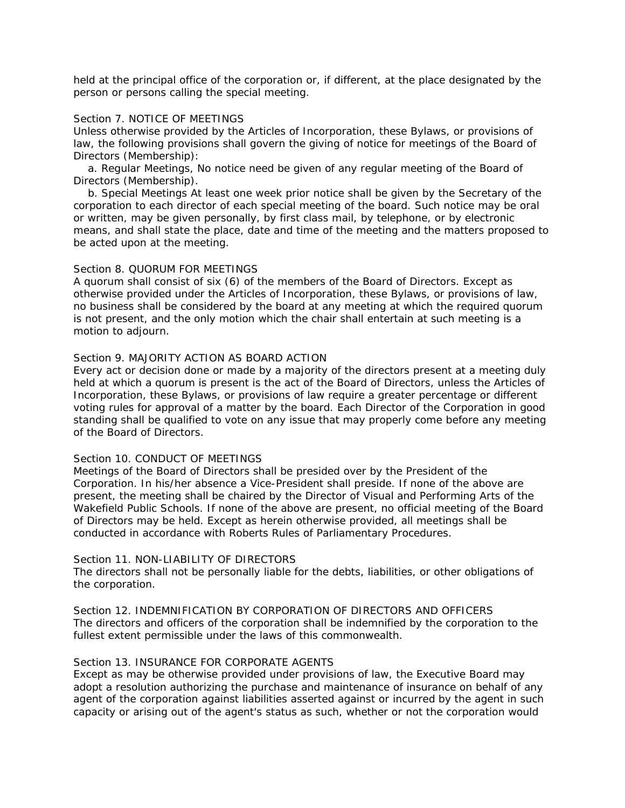held at the principal office of the corporation or, if different, at the place designated by the person or persons calling the special meeting.

## Section 7. NOTICE OF MEETINGS

Unless otherwise provided by the Articles of Incorporation, these Bylaws, or provisions of law, the following provisions shall govern the giving of notice for meetings of the Board of Directors (Membership):

 a. Regular Meetings, No notice need be given of any regular meeting of the Board of Directors (Membership).

 b. Special Meetings At least one week prior notice shall be given by the Secretary of the corporation to each director of each special meeting of the board. Such notice may be oral or written, may be given personally, by first class mail, by telephone, or by electronic means, and shall state the place, date and time of the meeting and the matters proposed to be acted upon at the meeting.

## Section 8. QUORUM FOR MEETINGS

A quorum shall consist of six (6) of the members of the Board of Directors. Except as otherwise provided under the Articles of Incorporation, these Bylaws, or provisions of law, no business shall be considered by the board at any meeting at which the required quorum is not present, and the only motion which the chair shall entertain at such meeting is a motion to adjourn.

## Section 9. MAJORITY ACTION AS BOARD ACTION

Every act or decision done or made by a majority of the directors present at a meeting duly held at which a quorum is present is the act of the Board of Directors, unless the Articles of Incorporation, these Bylaws, or provisions of law require a greater percentage or different voting rules for approval of a matter by the board. Each Director of the Corporation in good standing shall be qualified to vote on any issue that may properly come before any meeting of the Board of Directors.

## Section 10. CONDUCT OF MEETINGS

Meetings of the Board of Directors shall be presided over by the President of the Corporation. In his/her absence a Vice-President shall preside. If none of the above are present, the meeting shall be chaired by the Director of Visual and Performing Arts of the Wakefield Public Schools. If none of the above are present, no official meeting of the Board of Directors may be held. Except as herein otherwise provided, all meetings shall be conducted in accordance with Roberts Rules of Parliamentary Procedures.

## Section 11. NON-LIABILITY OF DIRECTORS

The directors shall not be personally liable for the debts, liabilities, or other obligations of the corporation.

Section 12. INDEMNIFICATION BY CORPORATION OF DIRECTORS AND OFFICERS The directors and officers of the corporation shall be indemnified by the corporation to the fullest extent permissible under the laws of this commonwealth.

# Section 13. INSURANCE FOR CORPORATE AGENTS

Except as may be otherwise provided under provisions of law, the Executive Board may adopt a resolution authorizing the purchase and maintenance of insurance on behalf of any agent of the corporation against liabilities asserted against or incurred by the agent in such capacity or arising out of the agent's status as such, whether or not the corporation would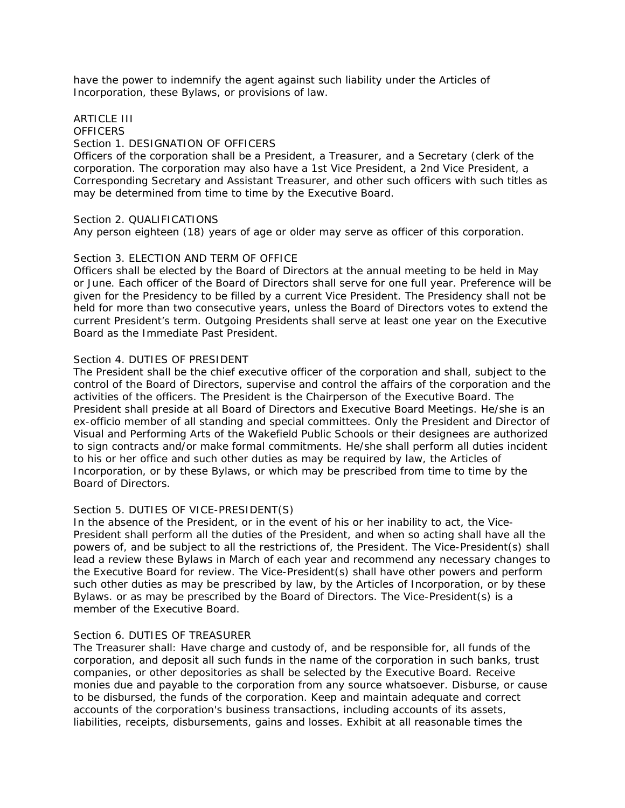have the power to indemnify the agent against such liability under the Articles of Incorporation, these Bylaws, or provisions of law.

# ARTICLE III **OFFICERS** Section 1. DESIGNATION OF OFFICERS

Officers of the corporation shall be a President, a Treasurer, and a Secretary (clerk of the corporation. The corporation may also have a 1st Vice President, a 2nd Vice President, a Corresponding Secretary and Assistant Treasurer, and other such officers with such titles as may be determined from time to time by the Executive Board.

## Section 2. QUALIFICATIONS

Any person eighteen (18) years of age or older may serve as officer of this corporation.

## Section 3. ELECTION AND TERM OF OFFICE

Officers shall be elected by the Board of Directors at the annual meeting to be held in May or June. Each officer of the Board of Directors shall serve for one full year. Preference will be given for the Presidency to be filled by a current Vice President. The Presidency shall not be held for more than two consecutive years, unless the Board of Directors votes to extend the current President's term. Outgoing Presidents shall serve at least one year on the Executive Board as the Immediate Past President.

## Section 4. DUTIES OF PRESIDENT

The President shall be the chief executive officer of the corporation and shall, subject to the control of the Board of Directors, supervise and control the affairs of the corporation and the activities of the officers. The President is the Chairperson of the Executive Board. The President shall preside at all Board of Directors and Executive Board Meetings. He/she is an ex-officio member of all standing and special committees. Only the President and Director of Visual and Performing Arts of the Wakefield Public Schools or their designees are authorized to sign contracts and/or make formal commitments. He/she shall perform all duties incident to his or her office and such other duties as may be required by law, the Articles of Incorporation, or by these Bylaws, or which may be prescribed from time to time by the Board of Directors.

## Section 5. DUTIES OF VICE-PRESIDENT(S)

In the absence of the President, or in the event of his or her inability to act, the Vice-President shall perform all the duties of the President, and when so acting shall have all the powers of, and be subject to all the restrictions of, the President. The Vice-President(s) shall lead a review these Bylaws in March of each year and recommend any necessary changes to the Executive Board for review. The Vice-President(s) shall have other powers and perform such other duties as may be prescribed by law, by the Articles of Incorporation, or by these Bylaws. or as may be prescribed by the Board of Directors. The Vice-President(s) is a member of the Executive Board.

## Section 6. DUTIES OF TREASURER

The Treasurer shall: Have charge and custody of, and be responsible for, all funds of the corporation, and deposit all such funds in the name of the corporation in such banks, trust companies, or other depositories as shall be selected by the Executive Board. Receive monies due and payable to the corporation from any source whatsoever. Disburse, or cause to be disbursed, the funds of the corporation. Keep and maintain adequate and correct accounts of the corporation's business transactions, including accounts of its assets, liabilities, receipts, disbursements, gains and losses. Exhibit at all reasonable times the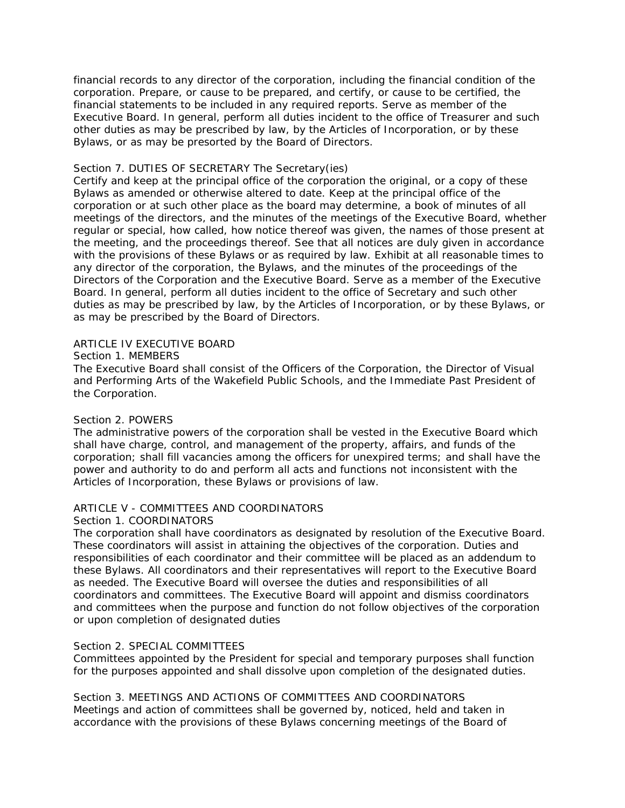financial records to any director of the corporation, including the financial condition of the corporation. Prepare, or cause to be prepared, and certify, or cause to be certified, the financial statements to be included in any required reports. Serve as member of the Executive Board. In general, perform all duties incident to the office of Treasurer and such other duties as may be prescribed by law, by the Articles of Incorporation, or by these Bylaws, or as may be presorted by the Board of Directors.

## Section 7. DUTIES OF SECRETARY The Secretary(ies)

Certify and keep at the principal office of the corporation the original, or a copy of these Bylaws as amended or otherwise altered to date. Keep at the principal office of the corporation or at such other place as the board may determine, a book of minutes of all meetings of the directors, and the minutes of the meetings of the Executive Board, whether regular or special, how called, how notice thereof was given, the names of those present at the meeting, and the proceedings thereof. See that all notices are duly given in accordance with the provisions of these Bylaws or as required by law. Exhibit at all reasonable times to any director of the corporation, the Bylaws, and the minutes of the proceedings of the Directors of the Corporation and the Executive Board. Serve as a member of the Executive Board. In general, perform all duties incident to the office of Secretary and such other duties as may be prescribed by law, by the Articles of Incorporation, or by these Bylaws, or as may be prescribed by the Board of Directors.

# ARTICLE IV EXECUTIVE BOARD

Section 1. MEMBERS

The Executive Board shall consist of the Officers of the Corporation, the Director of Visual and Performing Arts of the Wakefield Public Schools, and the Immediate Past President of the Corporation.

# Section 2. POWERS

The administrative powers of the corporation shall be vested in the Executive Board which shall have charge, control, and management of the property, affairs, and funds of the corporation; shall fill vacancies among the officers for unexpired terms; and shall have the power and authority to do and perform all acts and functions not inconsistent with the Articles of Incorporation, these Bylaws or provisions of law.

# ARTICLE V - COMMITTEES AND COORDINATORS

## Section 1. COORDINATORS

The corporation shall have coordinators as designated by resolution of the Executive Board. These coordinators will assist in attaining the objectives of the corporation. Duties and responsibilities of each coordinator and their committee will be placed as an addendum to these Bylaws. All coordinators and their representatives will report to the Executive Board as needed. The Executive Board will oversee the duties and responsibilities of all coordinators and committees. The Executive Board will appoint and dismiss coordinators and committees when the purpose and function do not follow objectives of the corporation or upon completion of designated duties

## Section 2. SPECIAL COMMITTEES

Committees appointed by the President for special and temporary purposes shall function for the purposes appointed and shall dissolve upon completion of the designated duties.

Section 3. MEETINGS AND ACTIONS OF COMMITTEES AND COORDINATORS Meetings and action of committees shall be governed by, noticed, held and taken in accordance with the provisions of these Bylaws concerning meetings of the Board of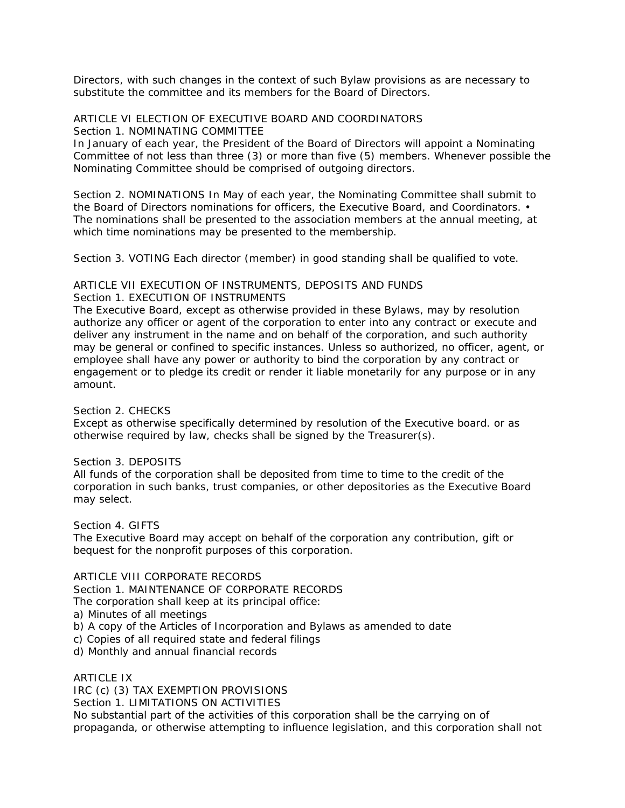Directors, with such changes in the context of such Bylaw provisions as are necessary to substitute the committee and its members for the Board of Directors.

ARTICLE VI ELECTION OF EXECUTIVE BOARD AND COORDINATORS Section 1. NOMINATING COMMITTEE

In January of each year, the President of the Board of Directors will appoint a Nominating Committee of not less than three (3) or more than five (5) members. Whenever possible the Nominating Committee should be comprised of outgoing directors.

Section 2. NOMINATIONS In May of each year, the Nominating Committee shall submit to the Board of Directors nominations for officers, the Executive Board, and Coordinators. • The nominations shall be presented to the association members at the annual meeting, at which time nominations may be presented to the membership.

Section 3. VOTING Each director (member) in good standing shall be qualified to vote.

## ARTICLE VII EXECUTION OF INSTRUMENTS, DEPOSITS AND FUNDS Section 1. EXECUTION OF INSTRUMENTS

The Executive Board, except as otherwise provided in these Bylaws, may by resolution authorize any officer or agent of the corporation to enter into any contract or execute and deliver any instrument in the name and on behalf of the corporation, and such authority may be general or confined to specific instances. Unless so authorized, no officer, agent, or employee shall have any power or authority to bind the corporation by any contract or engagement or to pledge its credit or render it liable monetarily for any purpose or in any amount.

Section 2. CHECKS

Except as otherwise specifically determined by resolution of the Executive board. or as otherwise required by law, checks shall be signed by the Treasurer(s).

Section 3. DEPOSITS

All funds of the corporation shall be deposited from time to time to the credit of the corporation in such banks, trust companies, or other depositories as the Executive Board may select.

Section 4. GIFTS

The Executive Board may accept on behalf of the corporation any contribution, gift or bequest for the nonprofit purposes of this corporation.

ARTICLE VIII CORPORATE RECORDS

Section 1. MAINTENANCE OF CORPORATE RECORDS

The corporation shall keep at its principal office:

- a) Minutes of all meetings
- b) A copy of the Articles of Incorporation and Bylaws as amended to date
- c) Copies of all required state and federal filings
- d) Monthly and annual financial records

ARTICLE IX

IRC (c) (3) TAX EXEMPTION PROVISIONS

Section 1. LIMITATIONS ON ACTIVITIES

No substantial part of the activities of this corporation shall be the carrying on of propaganda, or otherwise attempting to influence legislation, and this corporation shall not